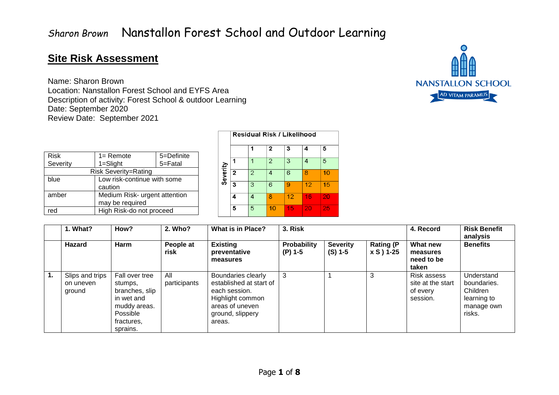#### **Site Risk Assessment**

Name: Sharon Brown Location: Nanstallon Forest School and EYFS Area Description of activity: Forest School & outdoor Learning Date: September 2020 Review Date: September 2021

| AHA                      |
|--------------------------|
|                          |
| <b>NANSTALLON SCHOOL</b> |
| AD VITAM PARAMUS         |

| <b>Risk</b>                 | 5=Definite<br>$1 =$ Remote    |         |  |  |  |  |  |
|-----------------------------|-------------------------------|---------|--|--|--|--|--|
| Severity                    | $1 =$ Slight                  | 5=Fatal |  |  |  |  |  |
| <b>Risk Severity=Rating</b> |                               |         |  |  |  |  |  |
| blue                        | Low risk-continue with some   |         |  |  |  |  |  |
|                             | caution                       |         |  |  |  |  |  |
| amber                       | Medium Risk- urgent attention |         |  |  |  |  |  |
|                             | may be required               |         |  |  |  |  |  |
| red                         | High Risk-do not proceed      |         |  |  |  |  |  |

|          | Residual Risk / Likelihood |   |    |    |    |    |  |  |  |  |  |
|----------|----------------------------|---|----|----|----|----|--|--|--|--|--|
|          |                            | 1 | 2  | 3  | 4  | 5  |  |  |  |  |  |
|          |                            | 1 | 2  | 3  | 4  | 5  |  |  |  |  |  |
| Severity | 2                          | 2 | 4  | 6  | 8  | 10 |  |  |  |  |  |
|          | 3                          | 3 | 6  | 9  | 12 | 15 |  |  |  |  |  |
|          | 4                          | 4 | ጾ  | 12 | 16 | 20 |  |  |  |  |  |
|          | 5                          | 5 | 10 | 15 | 20 | 25 |  |  |  |  |  |

|    | I. What?                               | How?                                                                                                            | 2. Who?             | <b>What is in Place?</b>                                                                                                            | 3. Risk                  |                              |                                | 4. Record                                                | <b>Risk Benefit</b><br>analysis                                              |
|----|----------------------------------------|-----------------------------------------------------------------------------------------------------------------|---------------------|-------------------------------------------------------------------------------------------------------------------------------------|--------------------------|------------------------------|--------------------------------|----------------------------------------------------------|------------------------------------------------------------------------------|
|    | <b>Hazard</b>                          | Harm                                                                                                            | People at<br>risk   | <b>Existing</b><br>preventative<br>measures                                                                                         | Probability<br>$(P)$ 1-5 | <b>Severity</b><br>$(S)$ 1-5 | <b>Rating (P</b><br>x S ) 1-25 | What new<br>measures<br>need to be<br>taken              | <b>Benefits</b>                                                              |
| 1. | Slips and trips<br>on uneven<br>ground | Fall over tree<br>stumps,<br>branches, slip<br>in wet and<br>muddy areas.<br>Possible<br>fractures,<br>sprains. | All<br>participants | Boundaries clearly<br>established at start of<br>each session.<br>Highlight common<br>areas of uneven<br>ground, slippery<br>areas. | 3                        |                              | 3                              | Risk assess<br>site at the start<br>of every<br>session. | Understand<br>boundaries.<br>Children<br>learning to<br>manage own<br>risks. |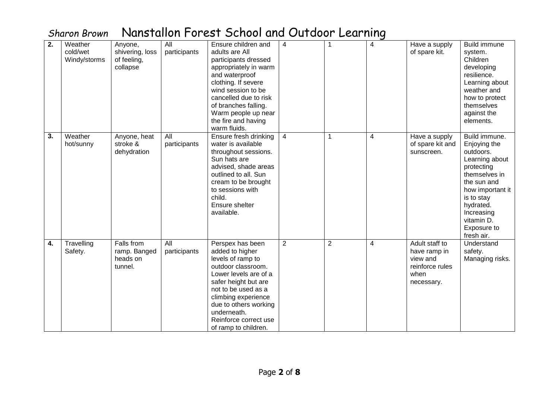| 2. | Weather<br>cold/wet<br>Windy/storms | Anyone,<br>shivering, loss<br>of feeling,<br>collapse | All<br>participants | Ensure children and<br>adults are All<br>participants dressed<br>appropriately in warm<br>and waterproof<br>clothing. If severe<br>wind session to be<br>cancelled due to risk<br>of branches falling.<br>Warm people up near<br>the fire and having<br>warm fluids.   | $\overline{\mathbf{4}}$ |                | $\overline{4}$ | Have a supply<br>of spare kit.                                                      | <b>Build immune</b><br>system.<br>Children<br>developing<br>resilience.<br>Learning about<br>weather and<br>how to protect<br>themselves<br>against the<br>elements.                                               |
|----|-------------------------------------|-------------------------------------------------------|---------------------|------------------------------------------------------------------------------------------------------------------------------------------------------------------------------------------------------------------------------------------------------------------------|-------------------------|----------------|----------------|-------------------------------------------------------------------------------------|--------------------------------------------------------------------------------------------------------------------------------------------------------------------------------------------------------------------|
| 3. | Weather<br>hot/sunny                | Anyone, heat<br>stroke &<br>dehydration               | All<br>participants | Ensure fresh drinking<br>water is available<br>throughout sessions.<br>Sun hats are<br>advised, shade areas<br>outlined to all. Sun<br>cream to be brought<br>to sessions with<br>child.<br>Ensure shelter<br>available.                                               | $\overline{4}$          | $\mathbf 1$    | 4              | Have a supply<br>of spare kit and<br>sunscreen.                                     | Build immune.<br>Enjoying the<br>outdoors.<br>Learning about<br>protecting<br>themselves in<br>the sun and<br>how important it<br>is to stay<br>hydrated.<br>Increasing<br>vitamin D.<br>Exposure to<br>fresh air. |
| 4. | Travelling<br>Safety.               | Falls from<br>ramp. Banged<br>heads on<br>tunnel.     | All<br>participants | Perspex has been<br>added to higher<br>levels of ramp to<br>outdoor classroom.<br>Lower levels are of a<br>safer height but are<br>not to be used as a<br>climbing experience<br>due to others working<br>underneath.<br>Reinforce correct use<br>of ramp to children. | $\overline{2}$          | $\overline{2}$ | $\overline{4}$ | Adult staff to<br>have ramp in<br>view and<br>reinforce rules<br>when<br>necessary. | Understand<br>safety.<br>Managing risks.                                                                                                                                                                           |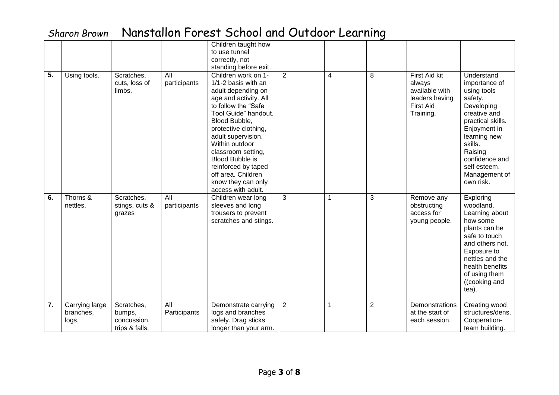|    |                                      |                                                       |                     | Children taught how<br>to use tunnel<br>correctly, not<br>standing before exit.                                                                                                                                                                                                                                                                             |                |             |                |                                                                                                     |                                                                                                                                                                                                                                |
|----|--------------------------------------|-------------------------------------------------------|---------------------|-------------------------------------------------------------------------------------------------------------------------------------------------------------------------------------------------------------------------------------------------------------------------------------------------------------------------------------------------------------|----------------|-------------|----------------|-----------------------------------------------------------------------------------------------------|--------------------------------------------------------------------------------------------------------------------------------------------------------------------------------------------------------------------------------|
| 5. | Using tools.                         | Scratches,<br>cuts, loss of<br>limbs.                 | All<br>participants | Children work on 1-<br>1/1-2 basis with an<br>adult depending on<br>age and activity. All<br>to follow the "Safe<br>Tool Guide" handout.<br>Blood Bubble,<br>protective clothing,<br>adult supervision.<br>Within outdoor<br>classroom setting,<br>Blood Bubble is<br>reinforced by taped<br>off area. Children<br>know they can only<br>access with adult. | $\overline{2}$ | 4           | 8              | <b>First Aid kit</b><br>always<br>available with<br>leaders having<br><b>First Aid</b><br>Training. | Understand<br>importance of<br>using tools<br>safety.<br>Developing<br>creative and<br>practical skills.<br>Enjoyment in<br>learning new<br>skills.<br>Raising<br>confidence and<br>self esteem.<br>Management of<br>own risk. |
| 6. | Thorns &<br>nettles.                 | Scratches,<br>stings, cuts &<br>grazes                | All<br>participants | Children wear long<br>sleeves and long<br>trousers to prevent<br>scratches and stings.                                                                                                                                                                                                                                                                      | 3              | $\mathbf 1$ | 3              | Remove any<br>obstructing<br>access for<br>young people.                                            | Exploring<br>woodland.<br>Learning about<br>how some<br>plants can be<br>safe to touch<br>and others not.<br>Exposure to<br>nettles and the<br>health benefits<br>of using them<br>((cooking and<br>tea).                      |
| 7. | Carrying large<br>branches,<br>logs, | Scratches,<br>bumps,<br>concussion,<br>trips & falls, | All<br>Participants | Demonstrate carrying<br>logs and branches<br>safely. Drag sticks<br>longer than your arm.                                                                                                                                                                                                                                                                   | $\overline{2}$ | 1           | $\overline{2}$ | Demonstrations<br>at the start of<br>each session.                                                  | Creating wood<br>structures/dens.<br>Cooperation-<br>team building.                                                                                                                                                            |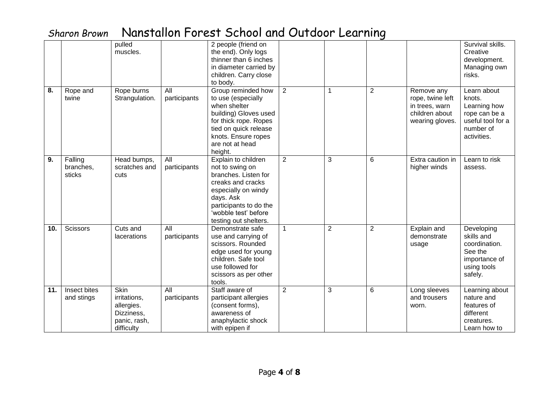|     |                                | pulled<br>muscles.                                                             |                     | 2 people (friend on<br>the end). Only logs<br>thinner than 6 inches<br>in diameter carried by<br>children. Carry close<br>to body.                                                                 |                |                |                |                                                                                       | Survival skills.<br>Creative<br>development.<br>Managing own<br>risks.                                  |
|-----|--------------------------------|--------------------------------------------------------------------------------|---------------------|----------------------------------------------------------------------------------------------------------------------------------------------------------------------------------------------------|----------------|----------------|----------------|---------------------------------------------------------------------------------------|---------------------------------------------------------------------------------------------------------|
| 8.  | Rope and<br>twine              | Rope burns<br>Strangulation.                                                   | All<br>participants | Group reminded how<br>to use (especially<br>when shelter<br>building) Gloves used<br>for thick rope. Ropes<br>tied on quick release<br>knots. Ensure ropes<br>are not at head<br>height.           | $\overline{2}$ | 1              | $\sqrt{2}$     | Remove any<br>rope, twine left<br>in trees, warn<br>children about<br>wearing gloves. | Learn about<br>knots.<br>Learning how<br>rope can be a<br>useful tool for a<br>number of<br>activities. |
| 9.  | Falling<br>branches,<br>sticks | Head bumps,<br>scratches and<br>cuts                                           | All<br>participants | Explain to children<br>not to swing on<br>branches. Listen for<br>creaks and cracks<br>especially on windy<br>days. Ask<br>participants to do the<br>'wobble test' before<br>testing out shelters. | $\overline{2}$ | 3              | 6              | Extra caution in<br>higher winds                                                      | Learn to risk<br>assess.                                                                                |
| 10. | <b>Scissors</b>                | Cuts and<br><b>lacerations</b>                                                 | All<br>participants | Demonstrate safe<br>use and carrying of<br>scissors. Rounded<br>edge used for young<br>children. Safe tool<br>use followed for<br>scissors as per other<br>tools.                                  | 1              | $\overline{2}$ | $\overline{2}$ | Explain and<br>demonstrate<br>usage                                                   | Developing<br>skills and<br>coordination.<br>See the<br>importance of<br>using tools<br>safely.         |
| 11. | Insect bites<br>and stings     | Skin<br>irritations,<br>allergies.<br>Dizziness,<br>panic, rash,<br>difficulty | All<br>participants | Staff aware of<br>participant allergies<br>(consent forms),<br>awareness of<br>anaphylactic shock<br>with epipen if                                                                                | $\overline{2}$ | 3              | 6              | Long sleeves<br>and trousers<br>worn.                                                 | Learning about<br>nature and<br>features of<br>different<br>creatures.<br>Learn how to                  |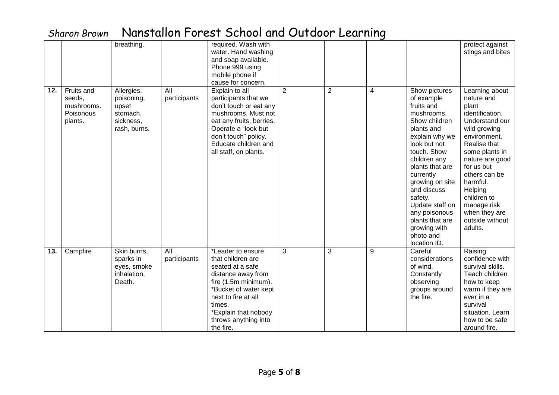|     |                                                            | breathing.                                                                 |                     | required. Wash with<br>water. Hand washing<br>and soap available.<br>Phone 999 using<br>mobile phone if                                                                                                                                   |                |                |       |                                                                                                                                                                                                                                                                                                                                          | protect against<br>stings and bites                                                                                                                                                                                                                                                                |
|-----|------------------------------------------------------------|----------------------------------------------------------------------------|---------------------|-------------------------------------------------------------------------------------------------------------------------------------------------------------------------------------------------------------------------------------------|----------------|----------------|-------|------------------------------------------------------------------------------------------------------------------------------------------------------------------------------------------------------------------------------------------------------------------------------------------------------------------------------------------|----------------------------------------------------------------------------------------------------------------------------------------------------------------------------------------------------------------------------------------------------------------------------------------------------|
| 12. | Fruits and<br>seeds,<br>mushrooms.<br>Poisonous<br>plants. | Allergies,<br>poisoning,<br>upset<br>stomach,<br>sickness,<br>rash, burns. | All<br>participants | cause for concern.<br>Explain to all<br>participants that we<br>don't touch or eat any<br>mushrooms. Must not<br>eat any fruits, berries.<br>Operate a "look but<br>don't touch" policy.<br>Educate children and<br>all staff, on plants. | $\overline{2}$ | $\overline{2}$ | 4     | Show pictures<br>of example<br>fruits and<br>mushrooms.<br>Show children<br>plants and<br>explain why we<br>look but not<br>touch. Show<br>children any<br>plants that are<br>currently<br>growing on site<br>and discuss<br>safety.<br>Update staff on<br>any poisonous<br>plants that are<br>growing with<br>photo and<br>location ID. | Learning about<br>nature and<br>plant<br>identification.<br>Understand our<br>wild growing<br>environment.<br>Realise that<br>some plants in<br>nature are good<br>for us but<br>others can be<br>harmful.<br>Helping<br>children to<br>manage risk<br>when they are<br>outside without<br>adults. |
| 13. | Campfire                                                   | Skin burns,<br>sparks in<br>eyes, smoke<br>inhalation,<br>Death.           | All<br>participants | *Leader to ensure<br>that children are<br>seated at a safe<br>distance away from<br>fire (1.5m minimum).<br>*Bucket of water kept<br>next to fire at all<br>times.<br>*Explain that nobody<br>throws anything into<br>the fire.           | 3              | 3              | $9\,$ | Careful<br>considerations<br>of wind.<br>Constantly<br>observing<br>groups around<br>the fire.                                                                                                                                                                                                                                           | Raising<br>confidence with<br>survival skills.<br>Teach children<br>how to keep<br>warm if they are<br>ever in a<br>survival<br>situation. Learn<br>how to be safe<br>around fire.                                                                                                                 |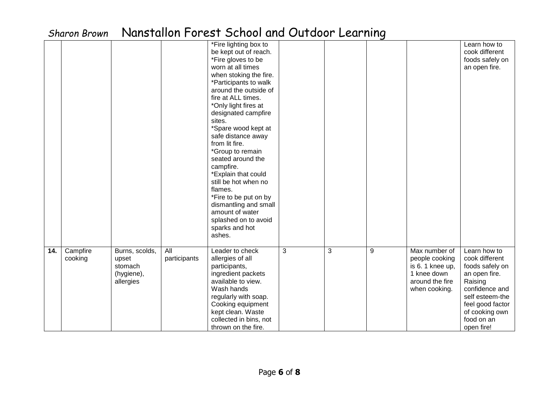|     | וושט וכן ווט ווטויט |                                                               |                                  | <b>INGIBIORIUM LUI COLLOCITUDI GITU OGTUOOL LEGI MING</b>                                                                                                                                                                                                                                                                                                                                                                                                                                                                                                    |   |   |   |                                                                                                       |                                                                                                                                                                                      |
|-----|---------------------|---------------------------------------------------------------|----------------------------------|--------------------------------------------------------------------------------------------------------------------------------------------------------------------------------------------------------------------------------------------------------------------------------------------------------------------------------------------------------------------------------------------------------------------------------------------------------------------------------------------------------------------------------------------------------------|---|---|---|-------------------------------------------------------------------------------------------------------|--------------------------------------------------------------------------------------------------------------------------------------------------------------------------------------|
|     |                     |                                                               |                                  | *Fire lighting box to<br>be kept out of reach.<br>*Fire gloves to be<br>worn at all times<br>when stoking the fire.<br>*Participants to walk<br>around the outside of<br>fire at ALL times.<br>*Only light fires at<br>designated campfire<br>sites.<br>*Spare wood kept at<br>safe distance away<br>from lit fire.<br>*Group to remain<br>seated around the<br>campfire.<br>*Explain that could<br>still be hot when no<br>flames.<br>*Fire to be put on by<br>dismantling and small<br>amount of water<br>splashed on to avoid<br>sparks and hot<br>ashes. |   |   |   |                                                                                                       | Learn how to<br>cook different<br>foods safely on<br>an open fire.                                                                                                                   |
| 14. | Campfire<br>cooking | Burns, scolds,<br>upset<br>stomach<br>(hygiene),<br>allergies | $\overline{All}$<br>participants | Leader to check<br>allergies of all<br>participants,<br>ingredient packets<br>available to view.<br>Wash hands<br>regularly with soap.<br>Cooking equipment<br>kept clean. Waste<br>collected in bins, not<br>thrown on the fire.                                                                                                                                                                                                                                                                                                                            | 3 | 3 | 9 | Max number of<br>people cooking<br>is 6.1 knee up,<br>1 knee down<br>around the fire<br>when cooking. | Learn how to<br>cook different<br>foods safely on<br>an open fire.<br>Raising<br>confidence and<br>self esteem-the<br>feel good factor<br>of cooking own<br>food on an<br>open fire! |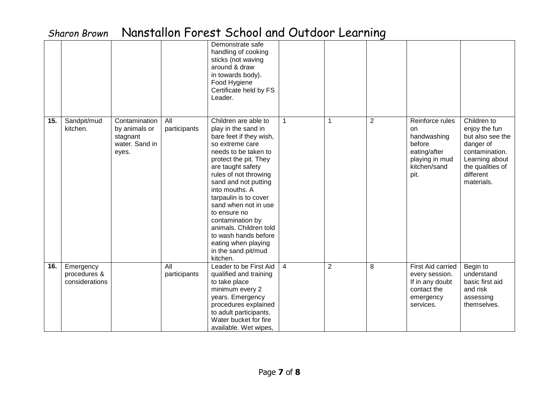|     |                                             |                                                                       |                     | Demonstrate safe<br>handling of cooking<br>sticks (not waving<br>around & draw<br>in towards body).<br>Food Hygiene<br>Certificate held by FS<br>Leader.                                                                                                                                                                                                                                                                            |                |                |                |                                                                                                          |                                                                                                                                                  |
|-----|---------------------------------------------|-----------------------------------------------------------------------|---------------------|-------------------------------------------------------------------------------------------------------------------------------------------------------------------------------------------------------------------------------------------------------------------------------------------------------------------------------------------------------------------------------------------------------------------------------------|----------------|----------------|----------------|----------------------------------------------------------------------------------------------------------|--------------------------------------------------------------------------------------------------------------------------------------------------|
| 15. | Sandpit/mud<br>kitchen.                     | Contamination<br>by animals or<br>stagnant<br>water. Sand in<br>eyes. | All<br>participants | Children are able to<br>play in the sand in<br>bare feet if they wish,<br>so extreme care<br>needs to be taken to<br>protect the pit. They<br>are taught safety<br>rules of not throwing<br>sand and not putting<br>into mouths. A<br>tarpaulin is to cover<br>sand when not in use<br>to ensure no<br>contamination by<br>animals. Children told<br>to wash hands before<br>eating when playing<br>in the sand pit/mud<br>kitchen. | $\mathbf{1}$   | 1              | $\overline{2}$ | Reinforce rules<br>on<br>handwashing<br>before<br>eating/after<br>playing in mud<br>kitchen/sand<br>pit. | Children to<br>enjoy the fun<br>but also see the<br>danger of<br>contamination.<br>Learning about<br>the qualities of<br>different<br>materials. |
| 16. | Emergency<br>procedures &<br>considerations |                                                                       | All<br>participants | Leader to be First Aid<br>qualified and training<br>to take place<br>minimum every 2<br>years. Emergency<br>procedures explained<br>to adult participants.<br>Water bucket for fire<br>available. Wet wipes,                                                                                                                                                                                                                        | $\overline{4}$ | $\overline{2}$ | 8              | First Aid carried<br>every session.<br>If in any doubt<br>contact the<br>emergency<br>services.          | Begin to<br>understand<br>basic first aid<br>and risk<br>assessing<br>themselves.                                                                |